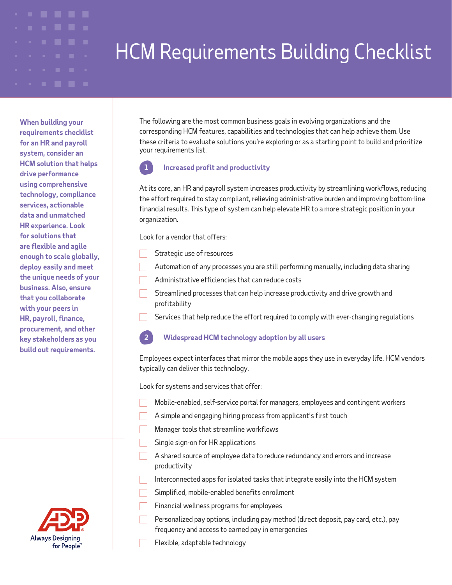# HCM Requirements Building Checklist

**When building your requirements checklist for an HR and payroll system, consider an HCM solution that helps drive performance using comprehensive technology, compliance services, actionable data and unmatched HR experience. Look for solutions that are flexible and agile enough to scale globally, deploy easily and meet the unique needs of your business. Also, ensure that you collaborate with your peers in HR, payroll, finance, procurement, and other key stakeholders as you build out requirements.**



The following are the most common business goals in evolving organizations and the corresponding HCM features, capabilities and technologies that can help achieve them. Use these criteria to evaluate solutions you're exploring or as a starting point to build and prioritize your requirements list.

#### **1 Increased profit and productivity**

At its core, an HR and payroll system increases productivity by streamlining workflows, reducing the effort required to stay compliant, relieving administrative burden and improving bottom-line financial results. This type of system can help elevate HR to a more strategic position in your organization.

Look for a vendor that offers:

- Strategic use of resources
- Automation of any processes you are still performing manually, including data sharing
- Administrative efficiencies that can reduce costs
- Streamlined processes that can help increase productivity and drive growth and profitability
- Services that help reduce the effort required to comply with ever-changing regulations

#### **2 Widespread HCM technology adoption by all users**

Employees expect interfaces that mirror the mobile apps they use in everyday life. HCM vendors typically can deliver this technology.

Look for systems and services that offer:

- Mobile-enabled, self-service portal for managers, employees and contingent workers
- A simple and engaging hiring process from applicant's first touch
- Manager tools that streamline workflows
- Single sign-on for HR applications
- A shared source of employee data to reduce redundancy and errors and increase productivity
- Interconnected apps for isolated tasks that integrate easily into the HCM system
- Simplified, mobile-enabled benefits enrollment
- $\Box$  Financial wellness programs for employees
	- Personalized pay options, including pay method (direct deposit, pay card, etc.), pay frequency and access to earned pay in emergencies
	- Flexible, adaptable technology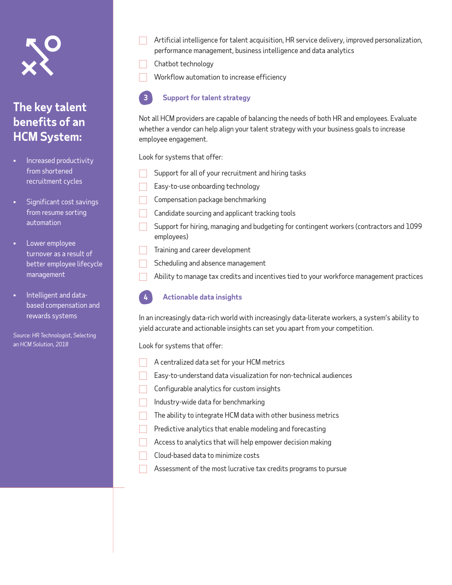

## **The key talent benefits of an HCM System:**

- Increased productivity from shortened recruitment cycles
- Significant cost savings from resume sorting automation
- Lower employee turnover as a result of better employee lifecycle management
- Intelligent and databased compensation and rewards systems

*Source: HR Technologist, Selecting an HCM Solution, 2018*

- Artificial intelligence for talent acquisition, HR service delivery, improved personalization, performance management, business intelligence and data analytics
- Chatbot technology
- Workflow automation to increase efficiency



Not all HCM providers are capable of balancing the needs of both HR and employees. Evaluate whether a vendor can help align your talent strategy with your business goals to increase employee engagement.

Look for systems that offer:

- Support for all of your recruitment and hiring tasks
- Easy-to-use onboarding technology
- Compensation package benchmarking
- $\Box$  Candidate sourcing and applicant tracking tools
- Support for hiring, managing and budgeting for contingent workers (contractors and 1099 employees)
- Training and career development
- Scheduling and absence management
- Ability to manage tax credits and incentives tied to your workforce management practices



#### **4 Actionable data insights**

In an increasingly data-rich world with increasingly data-literate workers, a system's ability to yield accurate and actionable insights can set you apart from your competition.

Look for systems that offer:

- A centralized data set for your HCM metrics
- Easy-to-understand data visualization for non-technical audiences
- **Configurable analytics for custom insights**
- Industry-wide data for benchmarking
- $\Box$  The ability to integrate HCM data with other business metrics
- $\Box$  Predictive analytics that enable modeling and forecasting
- $\Box$  Access to analytics that will help empower decision making
- Cloud-based data to minimize costs
	- Assessment of the most lucrative tax credits programs to pursue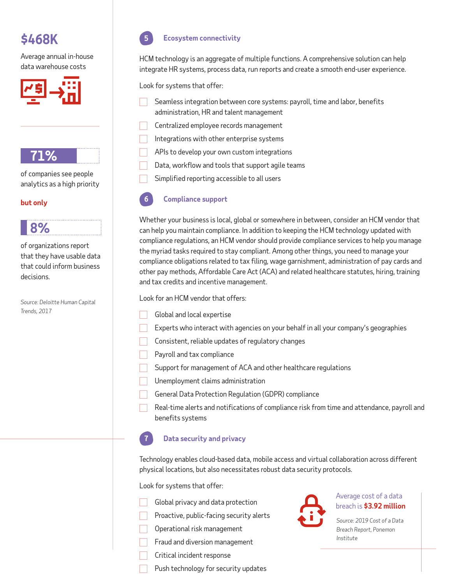# **\$468K**

Average annual in-house data warehouse costs





of companies see people analytics as a high priority

#### **but only**

of organizations report that they have usable data that could inform business decisions. **8%**

*Source: Deloitte Human Capital Trends, 2017*

#### **5 Ecosystem connectivity**

HCM technology is an aggregate of multiple functions. A comprehensive solution can help integrate HR systems, process data, run reports and create a smooth end-user experience.

Look for systems that offer:

- Seamless integration between core systems: payroll, time and labor, benefits administration, HR and talent management
- Centralized employee records management
- Integrations with other enterprise systems
- APIs to develop your own custom integrations
- Data, workflow and tools that support agile teams
- Simplified reporting accessible to all users

### **6 Compliance support**

Whether your business is local, global or somewhere in between, consider an HCM vendor that can help you maintain compliance. In addition to keeping the HCM technology updated with compliance regulations, an HCM vendor should provide compliance services to help you manage the myriad tasks required to stay compliant. Among other things, you need to manage your compliance obligations related to tax filing, wage garnishment, administration of pay cards and other pay methods, Affordable Care Act (ACA) and related healthcare statutes, hiring, training and tax credits and incentive management.

Look for an HCM vendor that offers:

- Global and local expertise
- Experts who interact with agencies on your behalf in all your company's geographies
- Consistent, reliable updates of regulatory changes
- Payroll and tax compliance
- Support for management of ACA and other healthcare regulations
- Unemployment claims administration
- General Data Protection Regulation (GDPR) compliance
- Real-time alerts and notifications of compliance risk from time and attendance, payroll and benefits systems

#### **7 Data security and privacy**

Technology enables cloud-based data, mobile access and virtual collaboration across different physical locations, but also necessitates robust data security protocols.

Look for systems that offer:

- Global privacy and data protection
- Proactive, public-facing security alerts
- Operational risk management
- **Fraud and diversion management**
- Critical incident response
- Push technology for security updates



#### Average cost of a data breach is **\$3.92 million**

*Source: 2019 Cost of a Data Breach Report, Ponemon Institute*